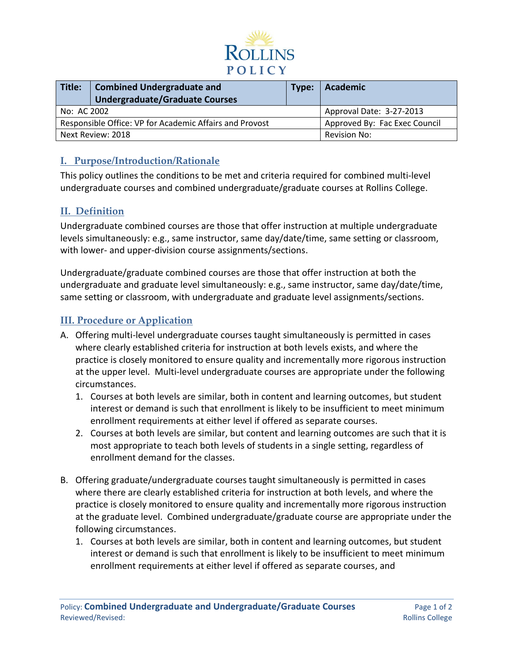

| Title:                                                  | <b>Combined Undergraduate and</b><br><b>Undergraduate/Graduate Courses</b> | Type:                    | Academic                      |
|---------------------------------------------------------|----------------------------------------------------------------------------|--------------------------|-------------------------------|
| No: AC 2002                                             |                                                                            | Approval Date: 3-27-2013 |                               |
| Responsible Office: VP for Academic Affairs and Provost |                                                                            |                          | Approved By: Fac Exec Council |
| Next Review: 2018                                       |                                                                            | Revision No:             |                               |

## **I. Purpose/Introduction/Rationale**

This policy outlines the conditions to be met and criteria required for combined multi-level undergraduate courses and combined undergraduate/graduate courses at Rollins College.

## **II. Definition**

Undergraduate combined courses are those that offer instruction at multiple undergraduate levels simultaneously: e.g., same instructor, same day/date/time, same setting or classroom, with lower- and upper-division course assignments/sections.

Undergraduate/graduate combined courses are those that offer instruction at both the undergraduate and graduate level simultaneously: e.g., same instructor, same day/date/time, same setting or classroom, with undergraduate and graduate level assignments/sections.

## **III. Procedure or Application**

- A. Offering multi-level undergraduate courses taught simultaneously is permitted in cases where clearly established criteria for instruction at both levels exists, and where the practice is closely monitored to ensure quality and incrementally more rigorous instruction at the upper level. Multi-level undergraduate courses are appropriate under the following circumstances.
	- 1. Courses at both levels are similar, both in content and learning outcomes, but student interest or demand is such that enrollment is likely to be insufficient to meet minimum enrollment requirements at either level if offered as separate courses.
	- 2. Courses at both levels are similar, but content and learning outcomes are such that it is most appropriate to teach both levels of students in a single setting, regardless of enrollment demand for the classes.
- B. Offering graduate/undergraduate courses taught simultaneously is permitted in cases where there are clearly established criteria for instruction at both levels, and where the practice is closely monitored to ensure quality and incrementally more rigorous instruction at the graduate level. Combined undergraduate/graduate course are appropriate under the following circumstances.
	- 1. Courses at both levels are similar, both in content and learning outcomes, but student interest or demand is such that enrollment is likely to be insufficient to meet minimum enrollment requirements at either level if offered as separate courses, and